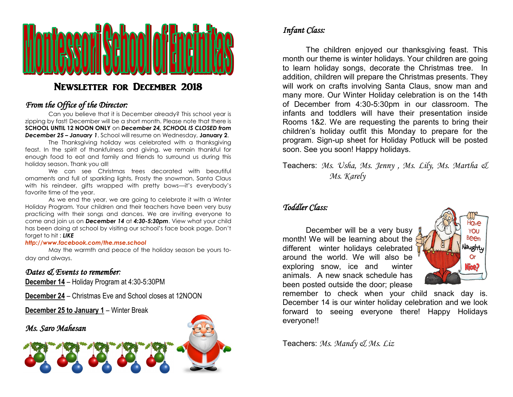

# Newsletter for December 2018

### *From the Office of the Director:*

Can you believe that it is December already? This school year is zipping by fast! December will be a short month. Please note that there is **SCHOOL UNTIL 12 NOON ONLY** on *December 24, SCHOOL IS CLOSED from December 25 – January 1*. School will resume on Wednesday, **January 2**.

The Thanksgiving holiday was celebrated with a thanksgiving feast. In the spirit of thankfulness and giving, we remain thankful for enough food to eat and family and friends to surround us during this holiday season. Thank you all!

We can see Christmas trees decorated with beautiful ornaments and full of sparkling lights, Frosty the snowman, Santa Claus with his reindeer, gifts wrapped with pretty bows—it's everybody's favorite time of the year.

As we end the year, we are going to celebrate it with a Winter Holiday Program. Your children and their teachers have been very busy practicing with their songs and dances. We are inviting everyone to come and join us on *December 14* at *4:30-5:30pm*. View what your child has been doing at school by visiting our school's face book page. Don't forget to hit : *LIKE*

#### *http://www.facebook.com/the.mse.school*

May the warmth and peace of the holiday season be yours today and always.

### *Dates & Events to remember:*

**December 14** – Holiday Program at 4:30-5:30PM

**December 24** – Christmas Eve and School closes at 12NOON

**December 25 to January 1** – Winter Break

#### *Ms. Saro Mahesan*

# *Infant Class:*

The children enjoyed our thanksgiving feast. This month our theme is winter holidays. Your children are going to learn holiday songs, decorate the Christmas tree. In addition, children will prepare the Christmas presents. They will work on crafts involving Santa Claus, snow man and many more. Our Winter Holiday celebration is on the 14th of December from 4:30-5:30pm in our classroom. The infants and toddlers will have their presentation inside Rooms 1&2. We are requesting the parents to bring their children's holiday outfit this Monday to prepare for the program. Sign-up sheet for Holiday Potluck will be posted soon. See you soon! Happy holidays.

Teachers: *Ms. Usha, Ms. Jenny , Ms. Lily, Ms. Martha & Ms. Karely*

### *Toddler Class:*

December will be a very busy month! We will be learning about the different winter holidays celebrated around the world. We will also be exploring snow, ice and winter animals. A new snack schedule has been posted outside the door; please



remember to check when your child snack day is. December 14 is our winter holiday celebration and we look forward to seeing everyone there! Happy Holidays everyone!!

Teachers: *Ms. Mandy & Ms. Liz*